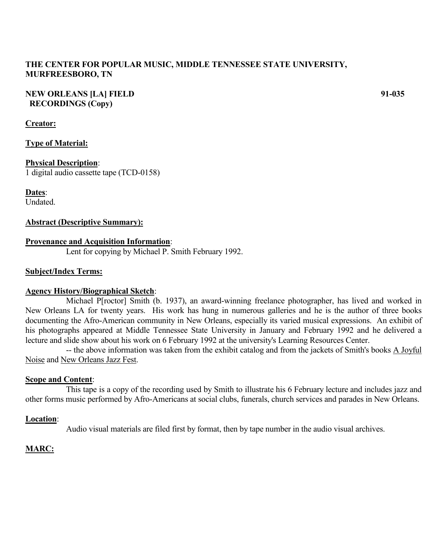## **THE CENTER FOR POPULAR MUSIC, MIDDLE TENNESSEE STATE UNIVERSITY, MURFREESBORO, TN**

## **NEW ORLEANS [LA] FIELD 91-035 RECORDINGS (Copy)**

## **Creator:**

## **Type of Material:**

## **Physical Description**:

1 digital audio cassette tape (TCD-0158)

**Dates**:

Undated.

## **Abstract (Descriptive Summary):**

## **Provenance and Acquisition Information**:

Lent for copying by Michael P. Smith February 1992.

## **Subject/Index Terms:**

## **Agency History/Biographical Sketch**:

Michael P[roctor] Smith (b. 1937), an award-winning freelance photographer, has lived and worked in New Orleans LA for twenty years. His work has hung in numerous galleries and he is the author of three books documenting the Afro-American community in New Orleans, especially its varied musical expressions. An exhibit of his photographs appeared at Middle Tennessee State University in January and February 1992 and he delivered a lecture and slide show about his work on 6 February 1992 at the university's Learning Resources Center.

-- the above information was taken from the exhibit catalog and from the jackets of Smith's books A Joyful Noise and New Orleans Jazz Fest.

## **Scope and Content**:

This tape is a copy of the recording used by Smith to illustrate his 6 February lecture and includes jazz and other forms music performed by Afro-Americans at social clubs, funerals, church services and parades in New Orleans.

## **Location**:

Audio visual materials are filed first by format, then by tape number in the audio visual archives.

# **MARC:**